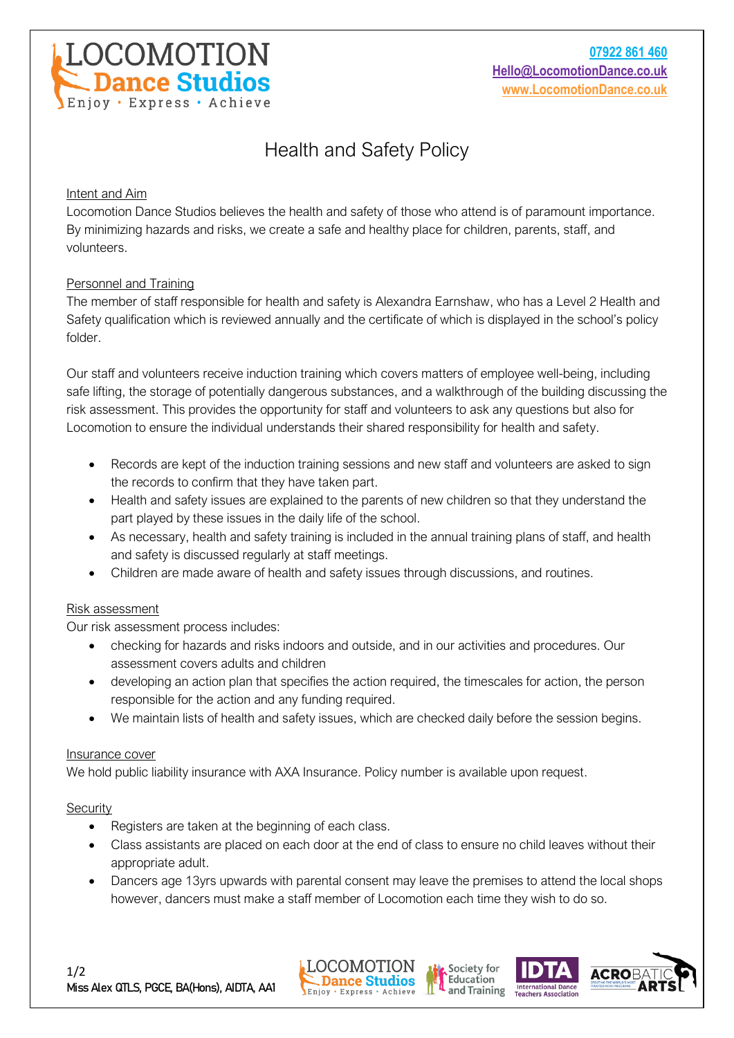

# Health and Safety Policy

## Intent and Aim

Locomotion Dance Studios believes the health and safety of those who attend is of paramount importance. By minimizing hazards and risks, we create a safe and healthy place for children, parents, staff, and volunteers.

# Personnel and Training

The member of staff responsible for health and safety is Alexandra Earnshaw, who has a Level 2 Health and Safety qualification which is reviewed annually and the certificate of which is displayed in the school's policy folder.

Our staff and volunteers receive induction training which covers matters of employee well-being, including safe lifting, the storage of potentially dangerous substances, and a walkthrough of the building discussing the risk assessment. This provides the opportunity for staff and volunteers to ask any questions but also for Locomotion to ensure the individual understands their shared responsibility for health and safety.

- Records are kept of the induction training sessions and new staff and volunteers are asked to sign the records to confirm that they have taken part.
- Health and safety issues are explained to the parents of new children so that they understand the part played by these issues in the daily life of the school.
- As necessary, health and safety training is included in the annual training plans of staff, and health and safety is discussed regularly at staff meetings.
- Children are made aware of health and safety issues through discussions, and routines.

# Risk assessment

Our risk assessment process includes:

- checking for hazards and risks indoors and outside, and in our activities and procedures. Our assessment covers adults and children
- developing an action plan that specifies the action required, the timescales for action, the person responsible for the action and any funding required.
- We maintain lists of health and safety issues, which are checked daily before the session begins.

## Insurance cover

We hold public liability insurance with AXA Insurance. Policy number is available upon request.

## **Security**

- Registers are taken at the beginning of each class.
- Class assistants are placed on each door at the end of class to ensure no child leaves without their appropriate adult.
- Dancers age 13yrs upwards with parental consent may leave the premises to attend the local shops however, dancers must make a staff member of Locomotion each time they wish to do so.